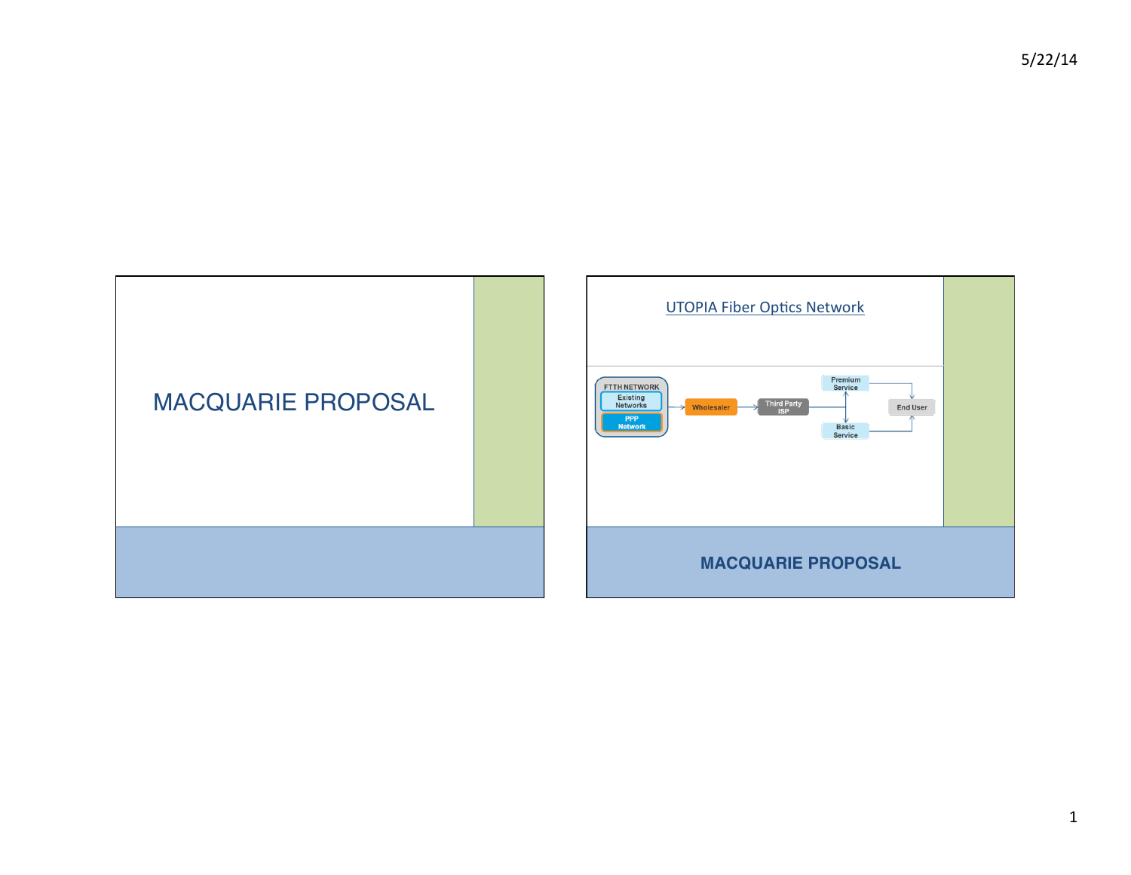

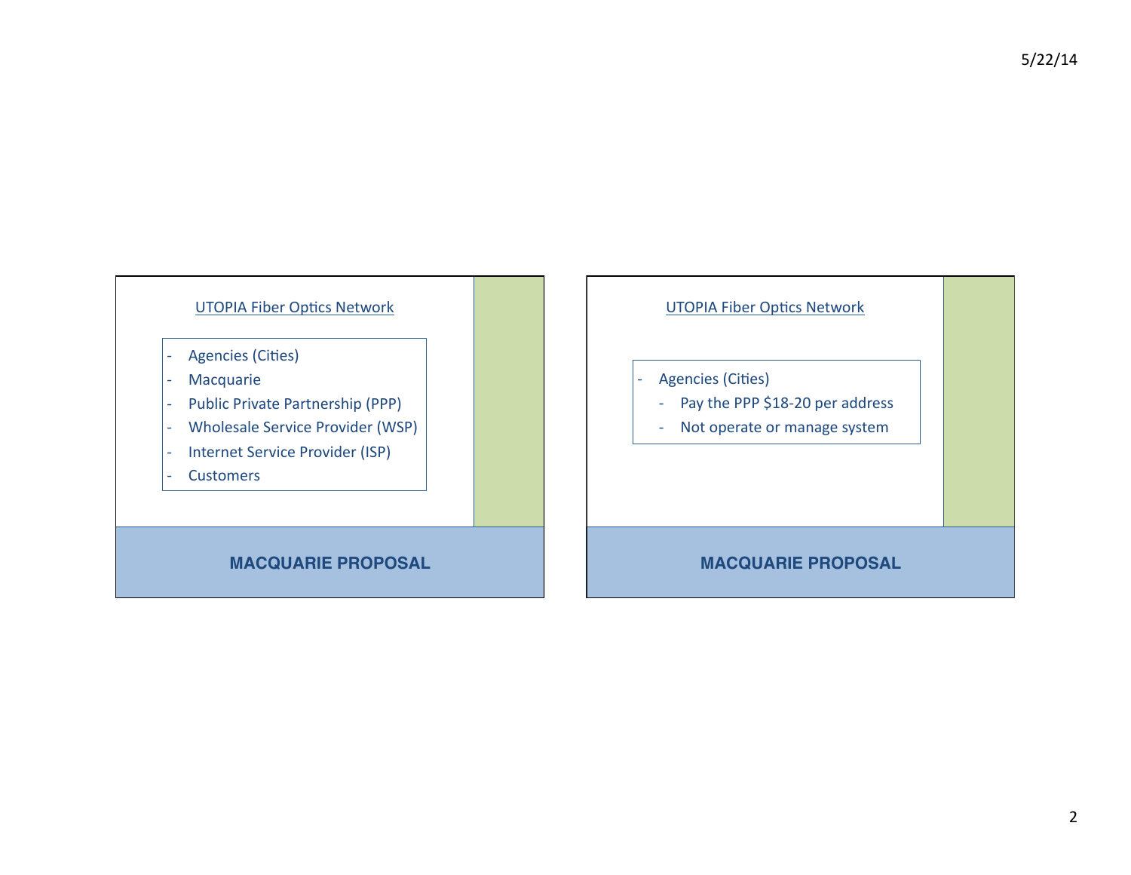#### UTOPIA Fiber Optics Network

- Agencies (Cities)
- **Macquarie**
- Public Private Partnership (PPP)
- Wholesale Service Provider (WSP)
- Internet Service Provider (ISP)
- **Customers**

### **MACQUARIE PROPOSAL**



- Agencies (Cities)
	- Pay the PPP \$18-20 per address
	- Not operate or manage system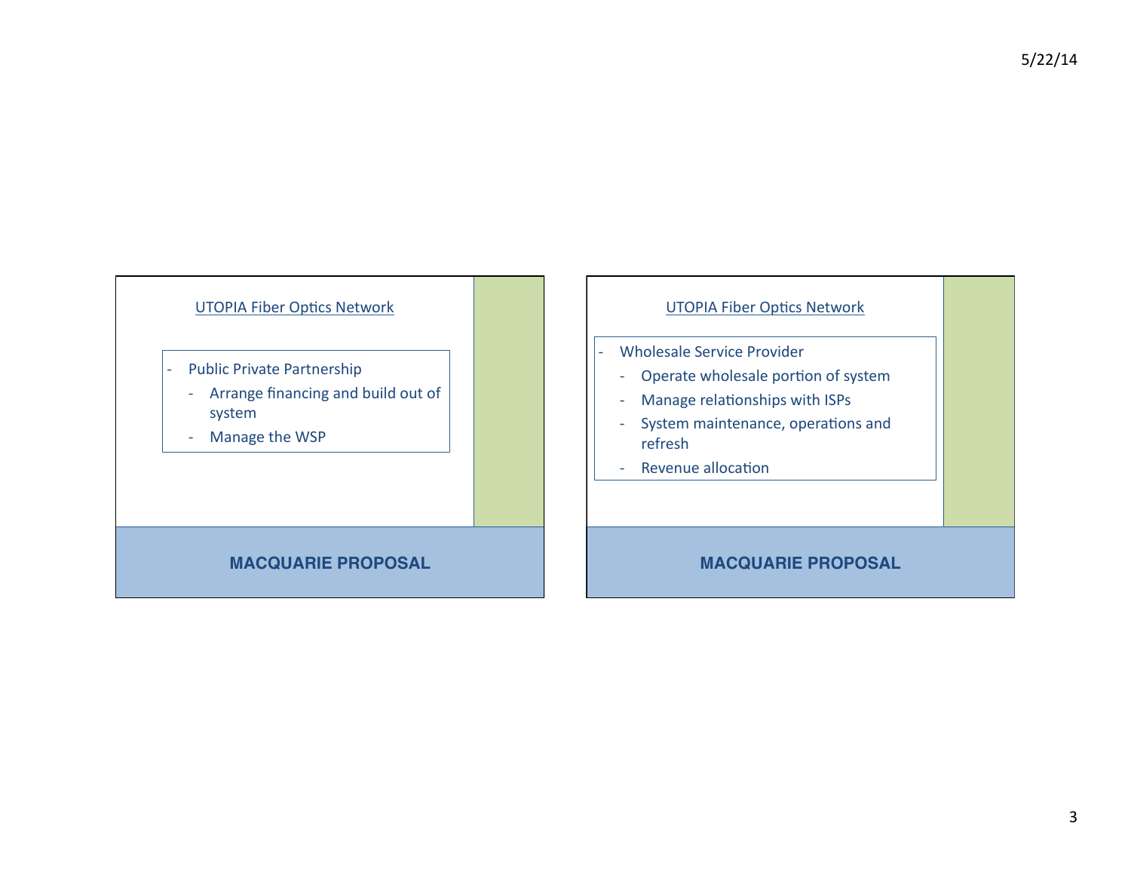#### UTOPIA Fiber Optics Network

- Public Private Partnership
- Arrange financing and build out of system&
- Manage the WSP

#### **MACQUARIE PROPOSAL**

#### UTOPIA Fiber Optics Network

- Wholesale Service Provider
	- Operate wholesale portion of system
	- Manage relationships with ISPs
- System maintenance, operations and refresh
- Revenue allocation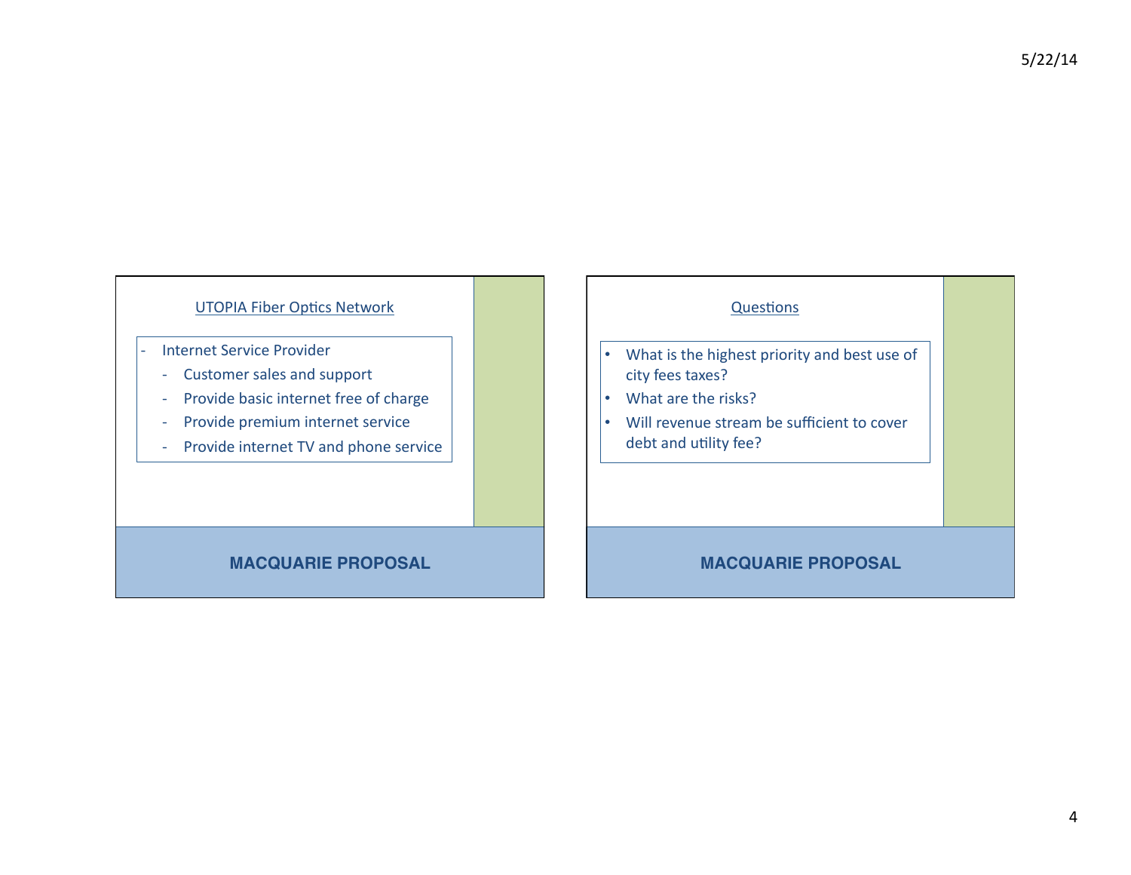$5/22/14$ 

### UTOPIA Fiber Optics Network

- Internet Service Provider
	- Customer sales and support
	- Provide basic internet free of charge
	- Provide premium internet service
	- Provide internet TV and phone service

### **MACQUARIE PROPOSAL**

#### Questions

- What is the highest priority and best use of city fees taxes?
- What are the risks?
- Will revenue stream be sufficient to cover debt and utility fee?